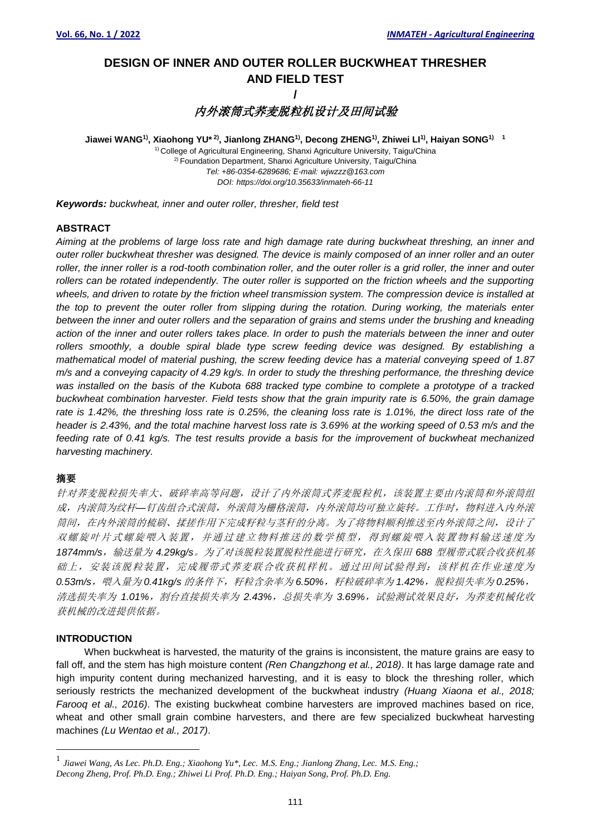## **DESIGN OF INNER AND OUTER ROLLER BUCKWHEAT THRESHER AND FIELD TEST /**

# 内外滚筒式荞麦脱粒机设计及田间试验

**Jiawei WANG1) , Xiaohong YU\* 2) , Jianlong ZHANG1) , Decong ZHENG1) , Zhiwei LI1) , Haiyan SONG1) 1**

<sup>1)</sup> College of Agricultural Engineering, Shanxi Agriculture University, Taigu/China <sup>2)</sup> Foundation Department, Shanxi Agriculture University, Taigu/China *Tel: +86-0354-6289686; E-mail: wjwzzz@163.com DOI: https://doi.org/10.35633/inmateh-66-11*

*Keywords: buckwheat, inner and outer roller, thresher, field test*

## **ABSTRACT**

*Aiming at the problems of large loss rate and high damage rate during buckwheat threshing, an inner and outer roller buckwheat thresher was designed. The device is mainly composed of an inner roller and an outer roller, the inner roller is a rod-tooth combination roller, and the outer roller is a grid roller, the inner and outer*  rollers can be rotated independently. The outer roller is supported on the friction wheels and the supporting *wheels, and driven to rotate by the friction wheel transmission system. The compression device is installed at the top to prevent the outer roller from slipping during the rotation. During working, the materials enter between the inner and outer rollers and the separation of grains and stems under the brushing and kneading action of the inner and outer rollers takes place. In order to push the materials between the inner and outer rollers smoothly, a double spiral blade type screw feeding device was designed. By establishing a mathematical model of material pushing, the screw feeding device has a material conveying speed of 1.87 m/s and a conveying capacity of 4.29 kg/s. In order to study the threshing performance, the threshing device was installed on the basis of the Kubota 688 tracked type combine to complete a prototype of a tracked buckwheat combination harvester. Field tests show that the grain impurity rate is 6.50%, the grain damage*  rate is 1.42%, the threshing loss rate is 0.25%, the cleaning loss rate is 1.01%, the direct loss rate of the *header is 2.43%, and the total machine harvest loss rate is 3.69% at the working speed of 0.53 m/s and the feeding rate of 0.41 kg/s. The test results provide a basis for the improvement of buckwheat mechanized harvesting machinery.*

## 摘要

针对荞麦脱粒损失率大、破碎率高等问题,设计了内外滚筒式荞麦脱粒机,该装置主要由内滚筒和外滚筒组 成,内滚筒为纹杆*—*钉齿组合式滚筒,外滚筒为栅格滚筒,内外滚筒均可独立旋转。工作时,物料进入内外滚 筒间,在内外滚筒的梳刷、揉搓作用下完成籽粒与茎秆的分离。为了将物料顺利推送至内外滚筒之间,设计了 双螺旋叶片式螺旋喂入装置,并通过建立物料推送的数学模型,得到螺旋喂入装置物料输送速度为 *1874mm/s*,输送量为 *4.29kg/s*。为了对该脱粒装置脱粒性能进行研究,在久保田 *688* 型履带式联合收获机基 础上,安装该脱粒装置,完成履带式荞麦联合收获机样机。通过田间试验得到:该样机在作业速度为 *0.53m/s*,喂入量为 *0.41kg/s* 的条件下,籽粒含杂率为 *6.50%*,籽粒破碎率为 *1.42%*,脱粒损失率为 *0.25%*, 清选损失率为 1.01%, 割台直接损失率为 2.43%, 总损失率为 3.69%, 试验测试效果良好, 为荞麦机械化收 获机械的改进提供依据。

## **INTRODUCTION**

When buckwheat is harvested, the maturity of the grains is inconsistent, the mature grains are easy to fall off, and the stem has high moisture content *(Ren Changzhong et al., 2018)*. It has large damage rate and high impurity content during mechanized harvesting, and it is easy to block the threshing roller, which seriously restricts the mechanized development of the buckwheat industry *(Huang Xiaona et al., 2018; Farooq et al., 2016)*. The existing buckwheat combine harvesters are improved machines based on rice, wheat and other small grain combine harvesters, and there are few specialized buckwheat harvesting machines *(Lu Wentao et al., 2017)*.

<sup>1</sup> *Jiawei Wang, As Lec. Ph.D. Eng.; Xiaohong Yu\*, Lec. M.S. Eng.; Jianlong Zhang, Lec. M.S. Eng.; Decong Zheng, Prof. Ph.D. Eng.; Zhiwei Li Prof. Ph.D. Eng.; Haiyan Song, Prof. Ph.D. Eng.*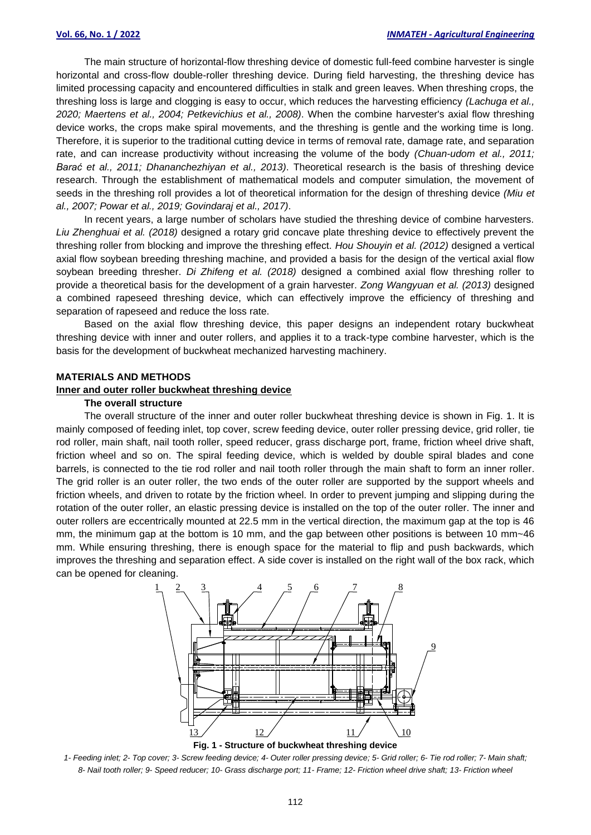The main structure of horizontal-flow threshing device of domestic full-feed combine harvester is single horizontal and cross-flow double-roller threshing device. During field harvesting, the threshing device has limited processing capacity and encountered difficulties in stalk and green leaves. When threshing crops, the threshing loss is large and clogging is easy to occur, which reduces the harvesting efficiency *(Lachuga et al., 2020; Maertens et al., 2004; Petkevichius et al., 2008)*. When the combine harvester's axial flow threshing device works, the crops make spiral movements, and the threshing is gentle and the working time is long. Therefore, it is superior to the traditional cutting device in terms of removal rate, damage rate, and separation rate, and can increase productivity without increasing the volume of the body *(Chuan-udom et al., 2011; Barać et al., 2011; Dhananchezhiyan et al., 2013)*. Theoretical research is the basis of threshing device research. Through the establishment of mathematical models and computer simulation, the movement of seeds in the threshing roll provides a lot of theoretical information for the design of threshing device *(Miu et al., 2007; Powar et al., 2019; Govindaraj et al., 2017)*.

In recent years, a large number of scholars have studied the threshing device of combine harvesters. *Liu Zhenghuai et al. (2018)* designed a rotary grid concave plate threshing device to effectively prevent the threshing roller from blocking and improve the threshing effect. *Hou Shouyin et al. (2012)* designed a vertical axial flow soybean breeding threshing machine, and provided a basis for the design of the vertical axial flow soybean breeding thresher. *Di Zhifeng et al. (2018)* designed a combined axial flow threshing roller to provide a theoretical basis for the development of a grain harvester. *Zong Wangyuan et al. (2013)* designed a combined rapeseed threshing device, which can effectively improve the efficiency of threshing and separation of rapeseed and reduce the loss rate.

Based on the axial flow threshing device, this paper designs an independent rotary buckwheat threshing device with inner and outer rollers, and applies it to a track-type combine harvester, which is the basis for the development of buckwheat mechanized harvesting machinery.

#### **MATERIALS AND METHODS**

## **Inner and outer roller buckwheat threshing device**

#### **The overall structure**

The overall structure of the inner and outer roller buckwheat threshing device is shown in Fig. 1. It is mainly composed of feeding inlet, top cover, screw feeding device, outer roller pressing device, grid roller, tie rod roller, main shaft, nail tooth roller, speed reducer, grass discharge port, frame, friction wheel drive shaft, friction wheel and so on. The spiral feeding device, which is welded by double spiral blades and cone barrels, is connected to the tie rod roller and nail tooth roller through the main shaft to form an inner roller. The grid roller is an outer roller, the two ends of the outer roller are supported by the support wheels and friction wheels, and driven to rotate by the friction wheel. In order to prevent jumping and slipping during the rotation of the outer roller, an elastic pressing device is installed on the top of the outer roller. The inner and outer rollers are eccentrically mounted at 22.5 mm in the vertical direction, the maximum gap at the top is 46 mm, the minimum gap at the bottom is 10 mm, and the gap between other positions is between 10 mm~46 mm. While ensuring threshing, there is enough space for the material to flip and push backwards, which improves the threshing and separation effect. A side cover is installed on the right wall of the box rack, which can be opened for cleaning.





*1- Feeding inlet; 2- Top cover; 3- Screw feeding device; 4- Outer roller pressing device; 5- Grid roller; 6- Tie rod roller; 7- Main shaft; 8- Nail tooth roller; 9- Speed reducer; 10- Grass discharge port; 11- Frame; 12- Friction wheel drive shaft; 13- Friction wheel*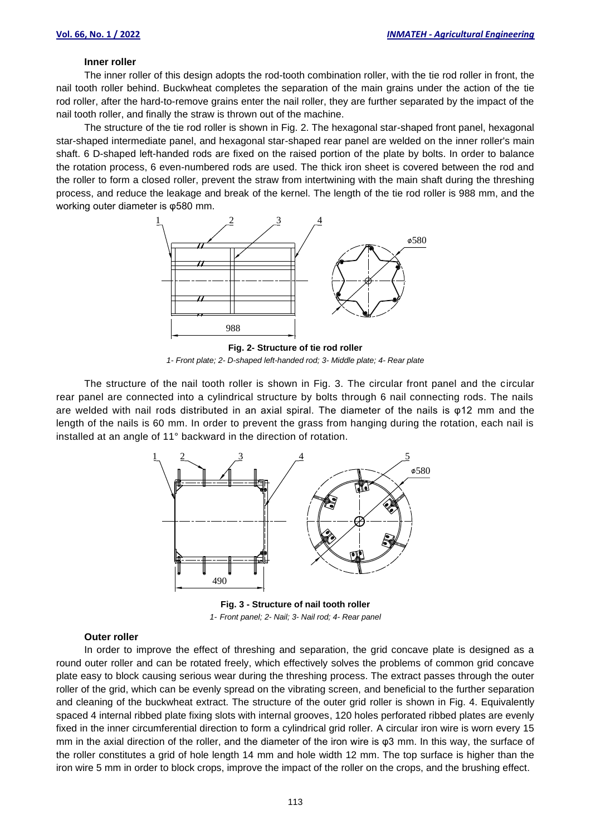#### **Inner roller**

The inner roller of this design adopts the rod-tooth combination roller, with the tie rod roller in front, the nail tooth roller behind. Buckwheat completes the separation of the main grains under the action of the tie rod roller, after the hard-to-remove grains enter the nail roller, they are further separated by the impact of the nail tooth roller, and finally the straw is thrown out of the machine.

The structure of the tie rod roller is shown in Fig. 2. The hexagonal star-shaped front panel, hexagonal star-shaped intermediate panel, and hexagonal star-shaped rear panel are welded on the inner roller's main shaft. 6 D-shaped left-handed rods are fixed on the raised portion of the plate by bolts. In order to balance the rotation process, 6 even-numbered rods are used. The thick iron sheet is covered between the rod and the roller to form a closed roller, prevent the straw from intertwining with the main shaft during the threshing process, and reduce the leakage and break of the kernel. The length of the tie rod roller is 988 mm, and the working outer diameter is φ580 mm.



**Fig. 2- Structure of tie rod roller** *1- Front plate; 2- D-shaped left-handed rod; 3- Middle plate; 4- Rear plate*

The structure of the nail tooth roller is shown in Fig. 3. The circular front panel and the circular rear panel are connected into a cylindrical structure by bolts through 6 nail connecting rods. The nails are welded with nail rods distributed in an axial spiral. The diameter of the nails is φ12 mm and the length of the nails is 60 mm. In order to prevent the grass from hanging during the rotation, each nail is installed at an angle of 11° backward in the direction of rotation.



**Fig. 3 - Structure of nail tooth roller** *1- Front panel; 2- Nail; 3- Nail rod; 4- Rear panel*

## **Outer roller**

In order to improve the effect of threshing and separation, the grid concave plate is designed as a round outer roller and can be rotated freely, which effectively solves the problems of common grid concave plate easy to block causing serious wear during the threshing process. The extract passes through the outer roller of the grid, which can be evenly spread on the vibrating screen, and beneficial to the further separation and cleaning of the buckwheat extract. The structure of the outer grid roller is shown in Fig. 4. Equivalently spaced 4 internal ribbed plate fixing slots with internal grooves, 120 holes perforated ribbed plates are evenly fixed in the inner circumferential direction to form a cylindrical grid roller. A circular iron wire is worn every 15 mm in the axial direction of the roller, and the diameter of the iron wire is φ3 mm. In this way, the surface of the roller constitutes a grid of hole length 14 mm and hole width 12 mm. The top surface is higher than the iron wire 5 mm in order to block crops, improve the impact of the roller on the crops, and the brushing effect.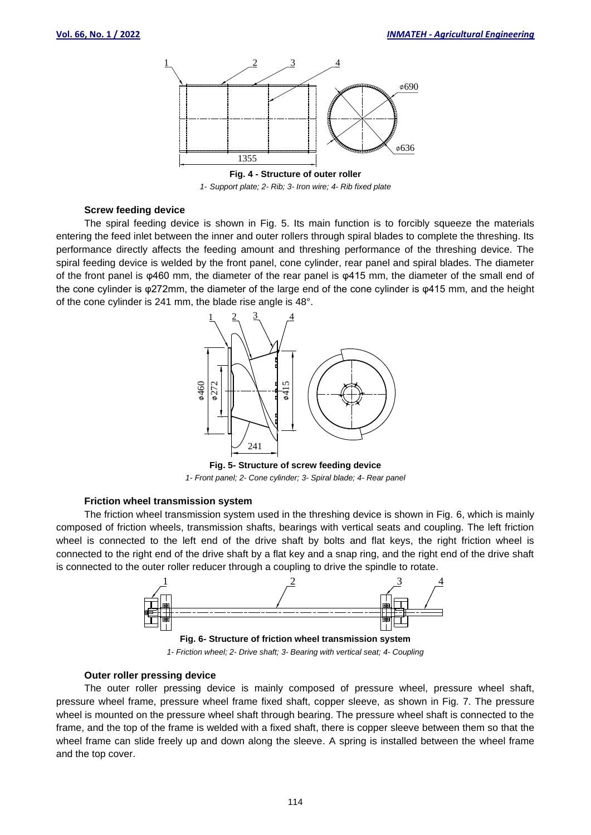

*1- Support plate; 2- Rib; 3- Iron wire; 4- Rib fixed plate*

#### **Screw feeding device**

The spiral feeding device is shown in Fig. 5. Its main function is to forcibly squeeze the materials entering the feed inlet between the inner and outer rollers through spiral blades to complete the threshing. Its performance directly affects the feeding amount and threshing performance of the threshing device. The spiral feeding device is welded by the front panel, cone cylinder, rear panel and spiral blades. The diameter of the front panel is φ460 mm, the diameter of the rear panel is φ415 mm, the diameter of the small end of the cone cylinder is φ272mm, the diameter of the large end of the cone cylinder is φ415 mm, and the height of the cone cylinder is 241 mm, the blade rise angle is 48°.



**Fig. 5- Structure of screw feeding device** *1- Front panel; 2- Cone cylinder; 3- Spiral blade; 4- Rear panel*

#### **Friction wheel transmission system**

The friction wheel transmission system used in the threshing device is shown in Fig. 6, which is mainly composed of friction wheels, transmission shafts, bearings with vertical seats and coupling. The left friction wheel is connected to the left end of the drive shaft by bolts and flat keys, the right friction wheel is connected to the right end of the drive shaft by a flat key and a snap ring, and the right end of the drive shaft is connected to the outer roller reducer through a coupling to drive the spindle to rotate.



#### **Outer roller pressing device**

The outer roller pressing device is mainly composed of pressure wheel, pressure wheel shaft, pressure wheel frame, pressure wheel frame fixed shaft, copper sleeve, as shown in Fig. 7. The pressure wheel is mounted on the pressure wheel shaft through bearing. The pressure wheel shaft is connected to the frame, and the top of the frame is welded with a fixed shaft, there is copper sleeve between them so that the wheel frame can slide freely up and down along the sleeve. A spring is installed between the wheel frame and the top cover.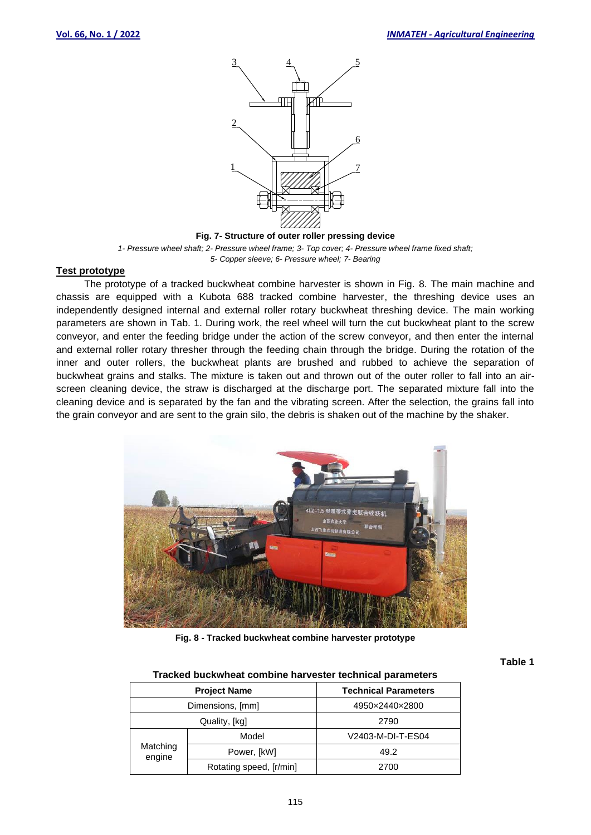

**Fig. 7- Structure of outer roller pressing device**

*1- Pressure wheel shaft; 2- Pressure wheel frame; 3- Top cover; 4- Pressure wheel frame fixed shaft; 5- Copper sleeve; 6- Pressure wheel; 7- Bearing*

#### **Test prototype**

The prototype of a tracked buckwheat combine harvester is shown in Fig. 8. The main machine and chassis are equipped with a Kubota 688 tracked combine harvester, the threshing device uses an independently designed internal and external roller rotary buckwheat threshing device. The main working parameters are shown in Tab. 1. During work, the reel wheel will turn the cut buckwheat plant to the screw conveyor, and enter the feeding bridge under the action of the screw conveyor, and then enter the internal and external roller rotary thresher through the feeding chain through the bridge. During the rotation of the inner and outer rollers, the buckwheat plants are brushed and rubbed to achieve the separation of buckwheat grains and stalks. The mixture is taken out and thrown out of the outer roller to fall into an airscreen cleaning device, the straw is discharged at the discharge port. The separated mixture fall into the cleaning device and is separated by the fan and the vibrating screen. After the selection, the grains fall into the grain conveyor and are sent to the grain silo, the debris is shaken out of the machine by the shaker.



**Fig. 8 - Tracked buckwheat combine harvester prototype**

**Table 1**

#### **Tracked buckwheat combine harvester technical parameters**

| <b>Project Name</b> |                         | <b>Technical Parameters</b> |  |  |
|---------------------|-------------------------|-----------------------------|--|--|
| Dimensions, [mm]    |                         | 4950×2440×2800              |  |  |
|                     | Quality, [kg]           | 2790                        |  |  |
| Matching<br>engine  | Model                   | V2403-M-DI-T-ES04           |  |  |
|                     | Power, [kW]             | 49.2                        |  |  |
|                     | Rotating speed, [r/min] | 2700                        |  |  |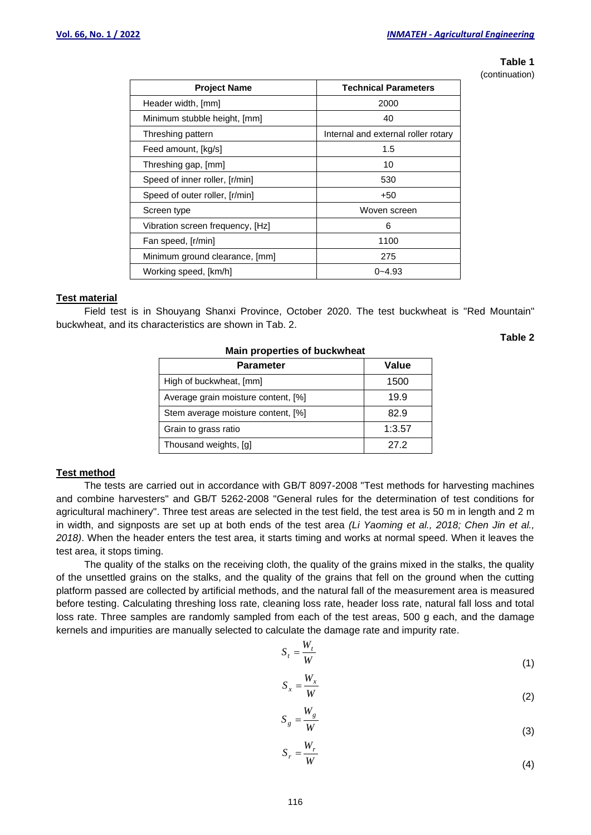# **Table 1**

**Table 2**

(continuation)

| <b>Project Name</b>              | <b>Technical Parameters</b>         |  |  |
|----------------------------------|-------------------------------------|--|--|
| Header width, [mm]               | 2000                                |  |  |
| Minimum stubble height, [mm]     | 40                                  |  |  |
| Threshing pattern                | Internal and external roller rotary |  |  |
| Feed amount, [kg/s]              | 1.5                                 |  |  |
| Threshing gap, [mm]              | 10                                  |  |  |
| Speed of inner roller, [r/min]   | 530                                 |  |  |
| Speed of outer roller, [r/min]   | +50                                 |  |  |
| Screen type                      | Woven screen                        |  |  |
| Vibration screen frequency, [Hz] | 6                                   |  |  |
| Fan speed, [r/min]               | 1100                                |  |  |
| Minimum ground clearance, [mm]   | 275                                 |  |  |
| Working speed, [km/h]            | $0 - 4.93$                          |  |  |

## **Test material**

Field test is in Shouyang Shanxi Province, October 2020. The test buckwheat is "Red Mountain" buckwheat, and its characteristics are shown in Tab. 2.

| <b>Mail properties of buckwrited</b> |        |  |  |  |  |
|--------------------------------------|--------|--|--|--|--|
| <b>Parameter</b>                     | Value  |  |  |  |  |
| High of buckwheat, [mm]              | 1500   |  |  |  |  |
| Average grain moisture content, [%]  | 19.9   |  |  |  |  |
| Stem average moisture content, [%]   | 82.9   |  |  |  |  |
| Grain to grass ratio                 | 1:3.57 |  |  |  |  |
| Thousand weights, [g]                | 27 2   |  |  |  |  |

## **Main properties of buckwheat**

## **Test method**

The tests are carried out in accordance with GB/T 8097-2008 "Test methods for harvesting machines and combine harvesters" and GB/T 5262-2008 "General rules for the determination of test conditions for agricultural machinery". Three test areas are selected in the test field, the test area is 50 m in length and 2 m in width, and signposts are set up at both ends of the test area *(Li Yaoming et al., 2018; Chen Jin et al., 2018)*. When the header enters the test area, it starts timing and works at normal speed. When it leaves the test area, it stops timing.

The quality of the stalks on the receiving cloth, the quality of the grains mixed in the stalks, the quality of the unsettled grains on the stalks, and the quality of the grains that fell on the ground when the cutting platform passed are collected by artificial methods, and the natural fall of the measurement area is measured before testing. Calculating threshing loss rate, cleaning loss rate, header loss rate, natural fall loss and total loss rate. Three samples are randomly sampled from each of the test areas, 500 g each, and the damage kernels and impurities are manually selected to calculate the damage rate and impurity rate.

$$
S_t = \frac{W_t}{W} \tag{1}
$$

$$
S_x = \frac{W_x}{W}
$$
 (2)

$$
S_g = \frac{W_g}{W} \tag{3}
$$

$$
S_r = \frac{W_r}{W}
$$
 (4)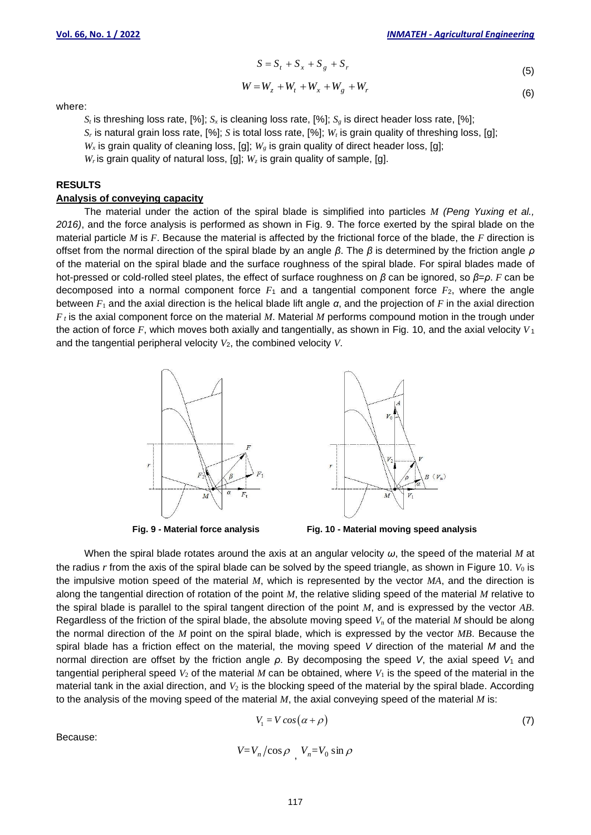$$
S = S_t + S_x + S_g + S_r \tag{5}
$$

$$
W = W_z + W_t + W_x + W_g + W_r
$$
\n(6)

where:

 $S_t$  is threshing loss rate, [%];  $S_x$  is cleaning loss rate, [%];  $S_g$  is direct header loss rate, [%];

*S<sup>r</sup>* is natural grain loss rate, [%]; *S* is total loss rate, [%]; *W<sup>t</sup>* is grain quality of threshing loss, [g];

 $W_x$  is grain quality of cleaning loss, [g];  $W_g$  is grain quality of direct header loss, [g];

 $W_r$  is grain quality of natural loss, [g];  $W_z$  is grain quality of sample, [g].

## **RESULTS**

#### **Analysis of conveying capacity**

The material under the action of the spiral blade is simplified into particles *M (Peng Yuxing et al., 2016)*, and the force analysis is performed as shown in Fig. 9. The force exerted by the spiral blade on the material particle *M* is *F*. Because the material is affected by the frictional force of the blade, the *F* direction is offset from the normal direction of the spiral blade by an angle *β*. The *β* is determined by the friction angle *ρ* of the material on the spiral blade and the surface roughness of the spiral blade. For spiral blades made of hot-pressed or cold-rolled steel plates, the effect of surface roughness on *β* can be ignored, so *β*=*ρ*. *F* can be decomposed into a normal component force *F*<sup>1</sup> and a tangential component force *F*2, where the angle between *F*<sup>1</sup> and the axial direction is the helical blade lift angle *α*, and the projection of *F* in the axial direction *F <sup>t</sup>* is the axial component force on the material *M*. Material *M* performs compound motion in the trough under the action of force *F*, which moves both axially and tangentially, as shown in Fig. 10, and the axial velocity *V* <sup>1</sup> and the tangential peripheral velocity *V*2, the combined velocity *V*.





 $S = S_t + S_x + S_s + S_s + S_s$ <br>  $= W_z + W_t + W_x + W_g$ <br>  $= W_z + W_t + W_x + W_g$ <br>  $= W_z + W_t + W_x + W_g$ <br>  $= W_z + W_t + W_x + W_g$ <br>  $= W_s + W_t + W_s + W_s$ <br>  $= W_s + W_s$ <br>  $= W_s + W_s$ <br>  $= W_s + W_s$ <br>  $= W_s + W_s$ <br>  $= W_s + W_s$ <br>  $= W_s + W_s$ <br>  $= W_s + W_s$ <br>  $= W_s + W_s$ <br>  $= W_s + W_s$ <br>  $= W_s + W_s$ <br>  $= W_s + W_s$ <br>  $= W_s + W_s$ <br> When the spiral blade rotates around the axis at an angular velocity *ω*, the speed of the material *M* at the radius  $r$  from the axis of the spiral blade can be solved by the speed triangle, as shown in Figure 10.  $V_0$  is the impulsive motion speed of the material *M*, which is represented by the vector *MA*, and the direction is along the tangential direction of rotation of the point *M*, the relative sliding speed of the material *M* relative to the spiral blade is parallel to the spiral tangent direction of the point *M*, and is expressed by the vector *AB*. Regardless of the friction of the spiral blade, the absolute moving speed *V*<sup>n</sup> of the material *M* should be along the normal direction of the *M* point on the spiral blade, which is expressed by the vector *MB*. Because the spiral blade has a friction effect on the material, the moving speed *V* direction of the material *M* and the normal direction are offset by the friction angle *ρ*. By decomposing the speed *V*, the axial speed *V*<sup>1</sup> and tangential peripheral speed  $V_2$  of the material *M* can be obtained, where  $V_1$  is the speed of the material in the material tank in the axial direction, and *V*<sup>2</sup> is the blocking speed of the material by the spiral blade. According to the analysis of the moving speed of the material *M*, the axial conveying speed of the material *M* is:

$$
V_1 = V \cos(\alpha + \rho) \tag{7}
$$

Because:

$$
V = V_n / \cos \rho \, , \, V_n = V_0 \sin \rho
$$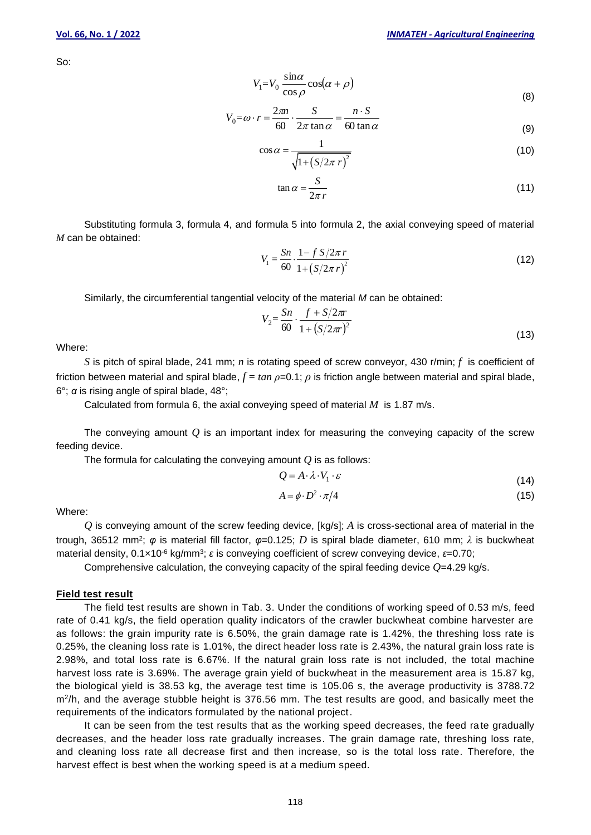So:

$$
V_1 = V_0 \frac{\sin \alpha}{\cos \rho} \cos(\alpha + \rho)
$$
\n(8)

$$
V_0 = \omega \cdot r = \frac{2\pi n}{60} \cdot \frac{S}{2\pi \tan \alpha} = \frac{n \cdot S}{60 \tan \alpha}
$$
 (9)

$$
\cos \alpha = \frac{1}{\sqrt{1 + \left(S/2\pi r\right)^2}}\tag{10}
$$

$$
\tan \alpha = \frac{S}{2\pi r} \tag{11}
$$

Substituting formula 3, formula 4, and formula 5 into formula 2, the axial conveying speed of material *M* can be obtained:

$$
V_1 = \frac{Sn}{60} \cdot \frac{1 - f S / 2\pi r}{1 + (S / 2\pi r)^2}
$$
 (12)

Similarly, the circumferential tangential velocity of the material *M* can be obtained:

$$
V_2 = \frac{Sn}{60} \cdot \frac{f + S/2\pi r}{1 + (S/2\pi r)^2}
$$
\n(13)

Where:

*S* is pitch of spiral blade, 241 mm; *n* is rotating speed of screw conveyor, 430 r/min; *f* is coefficient of friction between material and spiral blade, *f* = *tan ρ*=0.1; *ρ* is friction angle between material and spiral blade, 6°; *α* is rising angle of spiral blade, 48°;

Calculated from formula 6, the axial conveying speed of material *M* is 1.87 m/s.

The conveying amount  $Q$  is an important index for measuring the conveying capacity of the screw feeding device.

The formula for calculating the conveying amount *Q* is as follows:

$$
Q = A \cdot \lambda \cdot V_1 \cdot \varepsilon \tag{14}
$$

$$
A = \phi \cdot D^2 \cdot \pi/4 \tag{15}
$$

Where:

*Q* is conveying amount of the screw feeding device, [kg/s]; *A* is cross-sectional area of material in the trough, 36512 mm<sup>2</sup> ; *φ* is material fill factor, *φ*=0.125; *D* is spiral blade diameter, 610 mm; *λ* is buckwheat material density, 0.1×10<sup>-6</sup> kg/mm<sup>3</sup>; ε is conveying coefficient of screw conveying device, ε=0.70;

Comprehensive calculation, the conveying capacity of the spiral feeding device *Q*=4.29 kg/s.

#### **Field test result**

The field test results are shown in Tab. 3. Under the conditions of working speed of 0.53 m/s, feed rate of 0.41 kg/s, the field operation quality indicators of the crawler buckwheat combine harvester are as follows: the grain impurity rate is 6.50%, the grain damage rate is 1.42%, the threshing loss rate is 0.25%, the cleaning loss rate is 1.01%, the direct header loss rate is 2.43%, the natural grain loss rate is 2.98%, and total loss rate is 6.67%. If the natural grain loss rate is not included, the total machine harvest loss rate is 3.69%. The average grain yield of buckwheat in the measurement area is 15.87 kg, the biological yield is 38.53 kg, the average test time is 105.06 s, the average productivity is 3788.72 m<sup>2</sup> /h, and the average stubble height is 376.56 mm. The test results are good, and basically meet the requirements of the indicators formulated by the national project.

It can be seen from the test results that as the working speed decreases, the feed rate gradually decreases, and the header loss rate gradually increases. The grain damage rate, threshing loss rate, and cleaning loss rate all decrease first and then increase, so is the total loss rate. Therefore, the harvest effect is best when the working speed is at a medium speed.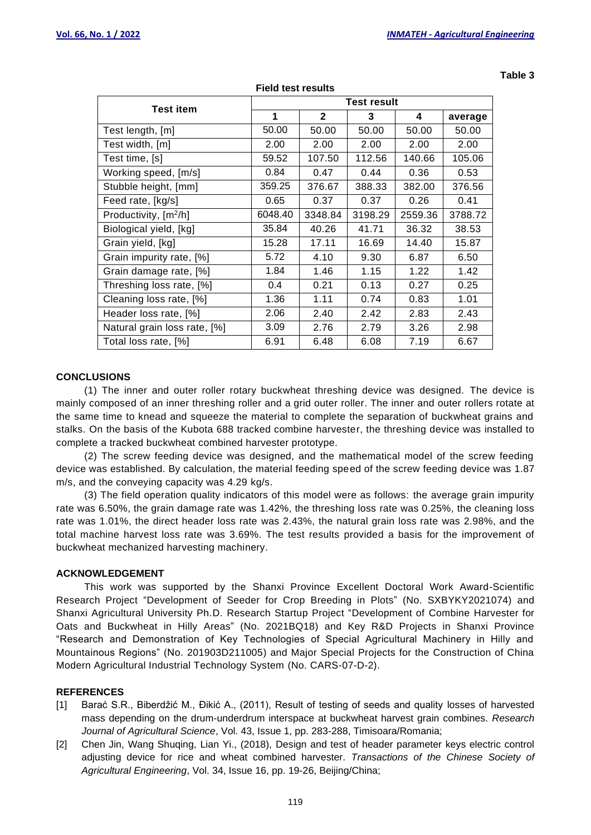**Table 3**

| <b>Test item</b>             | <b>Test result</b> |              |         |         |         |  |
|------------------------------|--------------------|--------------|---------|---------|---------|--|
|                              | 1                  | $\mathbf{2}$ | 3       | 4       | average |  |
| Test length, [m]             | 50.00              | 50.00        | 50.00   | 50.00   | 50.00   |  |
| Test width, [m]              | 2.00               | 2.00         | 2.00    | 2.00    | 2.00    |  |
| Test time, [s]               | 59.52              | 107.50       | 112.56  | 140.66  | 105.06  |  |
| Working speed, [m/s]         | 0.84               | 0.47         | 0.44    | 0.36    | 0.53    |  |
| Stubble height, [mm]         | 359.25             | 376.67       | 388.33  | 382.00  | 376.56  |  |
| Feed rate, [kg/s]            | 0.65               | 0.37         | 0.37    | 0.26    | 0.41    |  |
| Productivity, $[m^2/h]$      | 6048.40            | 3348.84      | 3198.29 | 2559.36 | 3788.72 |  |
| Biological yield, [kg]       | 35.84              | 40.26        | 41.71   | 36.32   | 38.53   |  |
| Grain yield, [kg]            | 15.28              | 17.11        | 16.69   | 14.40   | 15.87   |  |
| Grain impurity rate, [%]     | 5.72               | 4.10         | 9.30    | 6.87    | 6.50    |  |
| Grain damage rate, [%]       | 1.84               | 1.46         | 1.15    | 1.22    | 1.42    |  |
| Threshing loss rate, [%]     | 0.4                | 0.21         | 0.13    | 0.27    | 0.25    |  |
| Cleaning loss rate, [%]      | 1.36               | 1.11         | 0.74    | 0.83    | 1.01    |  |
| Header loss rate, [%]        | 2.06               | 2.40         | 2.42    | 2.83    | 2.43    |  |
| Natural grain loss rate, [%] | 3.09               | 2.76         | 2.79    | 3.26    | 2.98    |  |
| Total loss rate, [%]         | 6.91               | 6.48         | 6.08    | 7.19    | 6.67    |  |

**Field test results**

## **CONCLUSIONS**

(1) The inner and outer roller rotary buckwheat threshing device was designed. The device is mainly composed of an inner threshing roller and a grid outer roller. The inner and outer rollers rotate at the same time to knead and squeeze the material to complete the separation of buckwheat grains and stalks. On the basis of the Kubota 688 tracked combine harvester, the threshing device was installed to complete a tracked buckwheat combined harvester prototype.

(2) The screw feeding device was designed, and the mathematical model of the screw feeding device was established. By calculation, the material feeding speed of the screw feeding device was 1.87 m/s, and the conveying capacity was 4.29 kg/s.

(3) The field operation quality indicators of this model were as follows: the average grain impurity rate was 6.50%, the grain damage rate was 1.42%, the threshing loss rate was 0.25%, the cleaning loss rate was 1.01%, the direct header loss rate was 2.43%, the natural grain loss rate was 2.98%, and the total machine harvest loss rate was 3.69%. The test results provided a basis for the improvement of buckwheat mechanized harvesting machinery.

#### **ACKNOWLEDGEMENT**

This work was supported by the Shanxi Province Excellent Doctoral Work Award-Scientific Research Project "Development of Seeder for Crop Breeding in Plots" (No. SXBYKY2021074) and Shanxi Agricultural University Ph.D. Research Startup Project "Development of Combine Harvester for Oats and Buckwheat in Hilly Areas" (No. 2021BQ18) and Key R&D Projects in Shanxi Province "Research and Demonstration of Key Technologies of Special Agricultural Machinery in Hilly and Mountainous Regions" (No. 201903D211005) and Major Special Projects for the Construction of China Modern Agricultural Industrial Technology System (No. CARS-07-D-2).

## **REFERENCES**

- [1] Barać S.R., Biberdžić M., Đikić A., (2011), Result of testing of seeds and quality losses of harvested mass depending on the drum-underdrum interspace at buckwheat harvest grain combines. *Research Journal of Agricultural Science*, Vol. 43, Issue 1, pp. 283-288, Timisoara/Romania;
- [2] Chen Jin, Wang Shuqing, Lian Yi., (2018), Design and test of header parameter keys electric control adjusting device for rice and wheat combined harvester. *Transactions of the Chinese Society of Agricultural Engineering*, Vol. 34, Issue 16, pp. 19-26, Beijing/China;